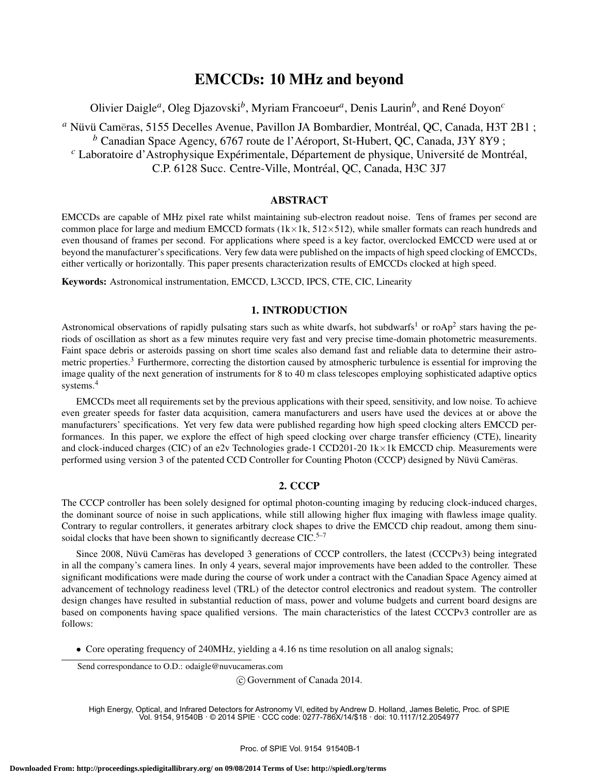# EMCCDs: 10 MHz and beyond

Olivier Daigle<sup>*a*</sup>, Oleg Djazovski<sup>b</sup>, Myriam Francoeur<sup>*a*</sup>, Denis Laurin<sup>b</sup>, and René Doyon<sup>c</sup>

<sup>a</sup> Nüvü Cameras, 5155 Decelles Avenue, Pavillon JA Bombardier, Montréal, QC, Canada, H3T 2B1 ; *<sup>b</sup>* Canadian Space Agency, 6767 route de l'Aeroport, St-Hubert, QC, Canada, J3Y 8Y9 ; ´ <sup>*c*</sup> Laboratoire d'Astrophysique Expérimentale, Département de physique, Université de Montréal, C.P. 6128 Succ. Centre-Ville, Montréal, OC, Canada, H3C 3J7

### ABSTRACT

EMCCDs are capable of MHz pixel rate whilst maintaining sub-electron readout noise. Tens of frames per second are common place for large and medium EMCCD formats ( $1k \times 1k$ ,  $512 \times 512$ ), while smaller formats can reach hundreds and even thousand of frames per second. For applications where speed is a key factor, overclocked EMCCD were used at or beyond the manufacturer's specifications. Very few data were published on the impacts of high speed clocking of EMCCDs, either vertically or horizontally. This paper presents characterization results of EMCCDs clocked at high speed.

Keywords: Astronomical instrumentation, EMCCD, L3CCD, IPCS, CTE, CIC, Linearity

#### 1. INTRODUCTION

Astronomical observations of rapidly pulsating stars such as white dwarfs, hot subdwarfs<sup>1</sup> or roAp<sup>2</sup> stars having the periods of oscillation as short as a few minutes require very fast and very precise time-domain photometric measurements. Faint space debris or asteroids passing on short time scales also demand fast and reliable data to determine their astrometric properties.<sup>3</sup> Furthermore, correcting the distortion caused by atmospheric turbulence is essential for improving the image quality of the next generation of instruments for 8 to 40 m class telescopes employing sophisticated adaptive optics systems.<sup>4</sup>

EMCCDs meet all requirements set by the previous applications with their speed, sensitivity, and low noise. To achieve even greater speeds for faster data acquisition, camera manufacturers and users have used the devices at or above the manufacturers' specifications. Yet very few data were published regarding how high speed clocking alters EMCCD performances. In this paper, we explore the effect of high speed clocking over charge transfer efficiency (CTE), linearity and clock-induced charges (CIC) of an e2v Technologies grade-1 CCD201-20 1k×1k EMCCD chip. Measurements were performed using version 3 of the patented CCD Controller for Counting Photon (CCCP) designed by Nüvü Cameras.

#### 2. CCCP

The CCCP controller has been solely designed for optimal photon-counting imaging by reducing clock-induced charges, the dominant source of noise in such applications, while still allowing higher flux imaging with flawless image quality. Contrary to regular controllers, it generates arbitrary clock shapes to drive the EMCCD chip readout, among them sinusoidal clocks that have been shown to significantly decrease  $CIC$ .<sup>5–7</sup>

Since 2008, Nüvü Cameras has developed 3 generations of CCCP controllers, the latest (CCCPv3) being integrated in all the company's camera lines. In only 4 years, several major improvements have been added to the controller. These significant modifications were made during the course of work under a contract with the Canadian Space Agency aimed at advancement of technology readiness level (TRL) of the detector control electronics and readout system. The controller design changes have resulted in substantial reduction of mass, power and volume budgets and current board designs are based on components having space qualified versions. The main characteristics of the latest CCCPv3 controller are as follows:

• Core operating frequency of 240MHz, yielding a 4.16 ns time resolution on all analog signals;

Send correspondance to O.D.: odaigle@nuvucameras.com

c Government of Canada 2014.

High Energy, Optical, and Infrared Detectors for Astronomy VI, edited by Andrew D. Holland, James Beletic, Proc. of SPIE Vol. 9154, 91540B · © 2014 SPIE · CCC code: 0277-786X/14/\$18 · doi: 10.1117/12.2054977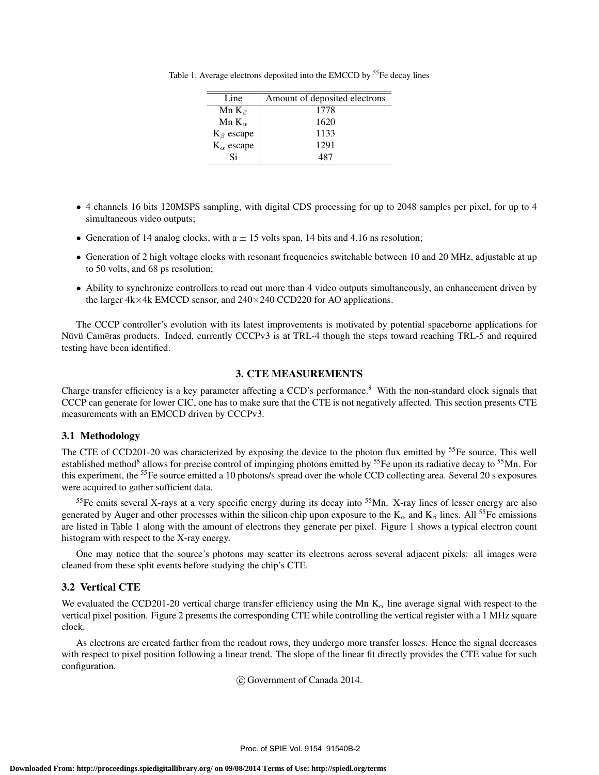Table 1. Average electrons deposited into the EMCCD by <sup>55</sup>Fe decay lines

| Line                | Amount of deposited electrons |
|---------------------|-------------------------------|
| Mn $K_{\beta}$      | 1778                          |
| Mn $K_{\alpha}$     | 1620                          |
| $K_{\beta}$ escape  | 1133                          |
| $K_{\alpha}$ escape | 1291                          |
| Si                  | 487                           |

- 4 channels 16 bits 120MSPS sampling, with digital CDS processing for up to 2048 samples per pixel, for up to 4 simultaneous video outputs;
- Generation of 14 analog clocks, with  $a \pm 15$  volts span, 14 bits and 4.16 ns resolution;
- Generation of 2 high voltage clocks with resonant frequencies switchable between 10 and 20 MHz, adjustable at up to 50 volts, and 68 ps resolution;
- Ability to synchronize controllers to read out more than 4 video outputs simultaneously, an enhancement driven by the larger  $4k \times 4k$  EMCCD sensor, and  $240 \times 240$  CCD220 for AO applications.

The CCCP controller's evolution with its latest improvements is motivated by potential spaceborne applications for Nüvü Cameras products. Indeed, currently CCCPv3 is at TRL-4 though the steps toward reaching TRL-5 and required testing have been identified.

## 3. CTE MEASUREMENTS

Charge transfer efficiency is a key parameter affecting a CCD's performance.<sup>8</sup> With the non-standard clock signals that CCCP can generate for lower CIC, one has to make sure that the CTE is not negatively affected. This section presents CTE measurements with an EMCCD driven by CCCPv3.

## 3.1 Methodology

The CTE of CCD201-20 was characterized by exposing the device to the photon flux emitted by <sup>55</sup>Fe source, This well established method<sup>8</sup> allows for precise control of impinging photons emitted by <sup>55</sup>Fe upon its radiative decay to <sup>55</sup>Mn. For this experiment, the <sup>55</sup>Fe source emitted a 10 photons/s spread over the whole CCD collecting area. Several 20 s exposures were acquired to gather sufficient data.

 $<sup>55</sup>$ Fe emits several X-rays at a very specific energy during its decay into  $<sup>55</sup>$ Mn. X-ray lines of lesser energy are also</sup></sup> generated by Auger and other processes within the silicon chip upon exposure to the  $K_\alpha$  and  $K_\beta$  lines. All <sup>55</sup>Fe emissions are listed in Table 1 along with the amount of electrons they generate per pixel. Figure 1 shows a typical electron count histogram with respect to the X-ray energy.

One may notice that the source's photons may scatter its electrons across several adjacent pixels: all images were cleaned from these split events before studying the chip's CTE.

# 3.2 Vertical CTE

We evaluated the CCD201-20 vertical charge transfer efficiency using the Mn  $K_{\alpha}$  line average signal with respect to the vertical pixel position. Figure 2 presents the corresponding CTE while controlling the vertical register with a 1 MHz square clock.

As electrons are created farther from the readout rows, they undergo more transfer losses. Hence the signal decreases with respect to pixel position following a linear trend. The slope of the linear fit directly provides the CTE value for such configuration.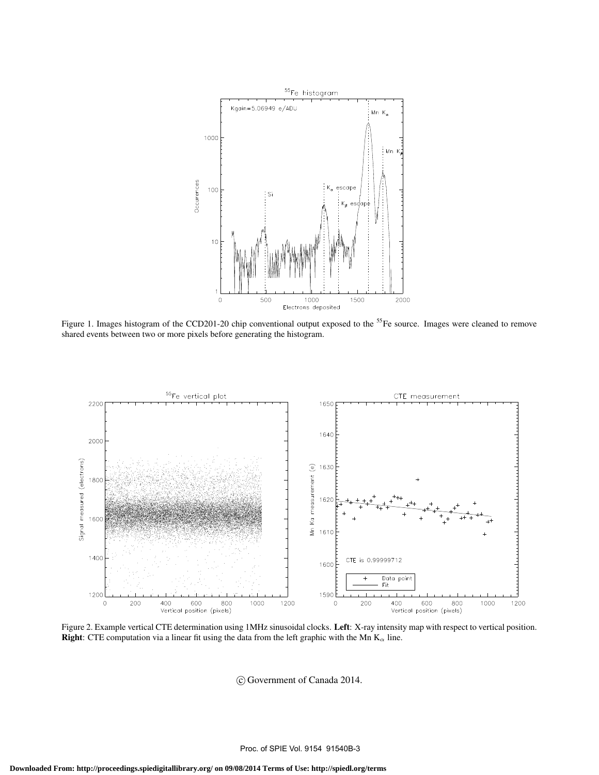

Figure 1. Images histogram of the CCD201-20 chip conventional output exposed to the <sup>55</sup>Fe source. Images were cleaned to remove shared events between two or more pixels before generating the histogram.



Figure 2. Example vertical CTE determination using 1MHz sinusoidal clocks. Left: X-ray intensity map with respect to vertical position. **Right:** CTE computation via a linear fit using the data from the left graphic with the Mn  $K_{\alpha}$  line.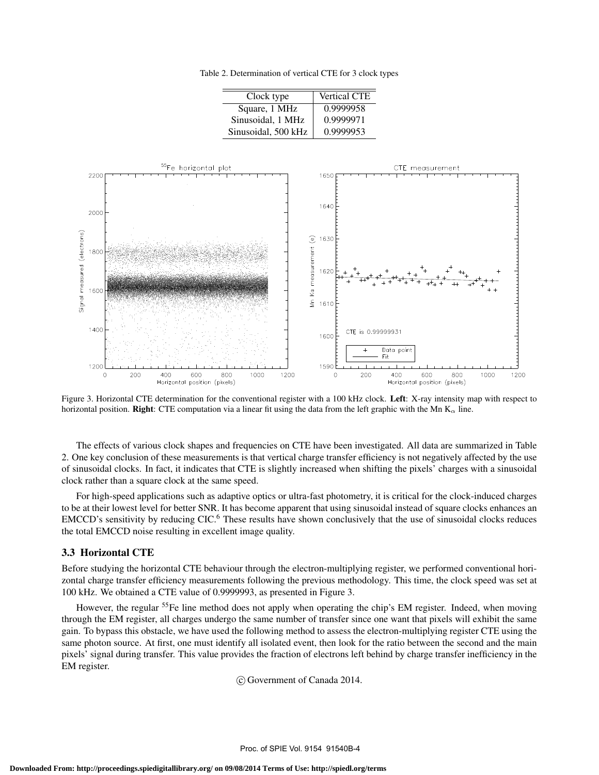Table 2. Determination of vertical CTE for 3 clock types

| Clock type          | <b>Vertical CTE</b> |  |  |
|---------------------|---------------------|--|--|
| Square, 1 MHz       | 0.9999958           |  |  |
| Sinusoidal, 1 MHz   | 0.9999971           |  |  |
| Sinusoidal, 500 kHz | 0.9999953           |  |  |



Figure 3. Horizontal CTE determination for the conventional register with a 100 kHz clock. Left: X-ray intensity map with respect to horizontal position. Right: CTE computation via a linear fit using the data from the left graphic with the Mn  $K_{\alpha}$  line.

The effects of various clock shapes and frequencies on CTE have been investigated. All data are summarized in Table 2. One key conclusion of these measurements is that vertical charge transfer efficiency is not negatively affected by the use of sinusoidal clocks. In fact, it indicates that CTE is slightly increased when shifting the pixels' charges with a sinusoidal clock rather than a square clock at the same speed.

For high-speed applications such as adaptive optics or ultra-fast photometry, it is critical for the clock-induced charges to be at their lowest level for better SNR. It has become apparent that using sinusoidal instead of square clocks enhances an EMCCD's sensitivity by reducing CIC.<sup>6</sup> These results have shown conclusively that the use of sinusoidal clocks reduces the total EMCCD noise resulting in excellent image quality.

#### 3.3 Horizontal CTE

Before studying the horizontal CTE behaviour through the electron-multiplying register, we performed conventional horizontal charge transfer efficiency measurements following the previous methodology. This time, the clock speed was set at 100 kHz. We obtained a CTE value of 0.9999993, as presented in Figure 3.

However, the regular <sup>55</sup>Fe line method does not apply when operating the chip's EM register. Indeed, when moving through the EM register, all charges undergo the same number of transfer since one want that pixels will exhibit the same gain. To bypass this obstacle, we have used the following method to assess the electron-multiplying register CTE using the same photon source. At first, one must identify all isolated event, then look for the ratio between the second and the main pixels' signal during transfer. This value provides the fraction of electrons left behind by charge transfer inefficiency in the EM register.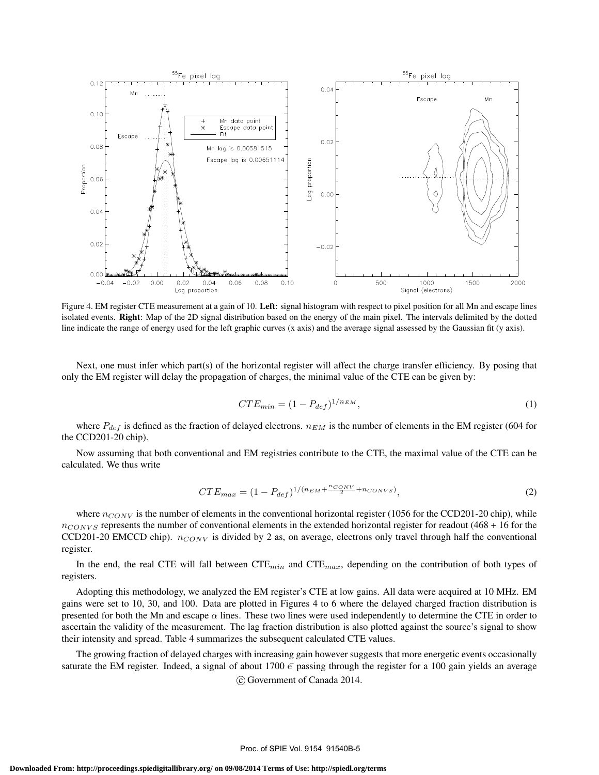

Figure 4. EM register CTE measurement at a gain of 10. Left: signal histogram with respect to pixel position for all Mn and escape lines isolated events. Right: Map of the 2D signal distribution based on the energy of the main pixel. The intervals delimited by the dotted line indicate the range of energy used for the left graphic curves (x axis) and the average signal assessed by the Gaussian fit (y axis).

Next, one must infer which part(s) of the horizontal register will affect the charge transfer efficiency. By posing that only the EM register will delay the propagation of charges, the minimal value of the CTE can be given by:

$$
CTE_{min} = (1 - P_{def})^{1/n_{EM}},\tag{1}
$$

where  $P_{def}$  is defined as the fraction of delayed electrons.  $n_{EM}$  is the number of elements in the EM register (604 for the CCD201-20 chip).

Now assuming that both conventional and EM registries contribute to the CTE, the maximal value of the CTE can be calculated. We thus write

$$
CTE_{max} = (1 - P_{def})^{1/(n_{EM} + \frac{n_{CONV}}{2} + n_{CONVS})},
$$
\n(2)

where  $n_{CONV}$  is the number of elements in the conventional horizontal register (1056 for the CCD201-20 chip), while  $n_{CONVS}$  represents the number of conventional elements in the extended horizontal register for readout (468 + 16 for the CCD201-20 EMCCD chip).  $n_{CONV}$  is divided by 2 as, on average, electrons only travel through half the conventional register.

In the end, the real CTE will fall between  $CTE_{min}$  and  $CTE_{max}$ , depending on the contribution of both types of registers.

Adopting this methodology, we analyzed the EM register's CTE at low gains. All data were acquired at 10 MHz. EM gains were set to 10, 30, and 100. Data are plotted in Figures 4 to 6 where the delayed charged fraction distribution is presented for both the Mn and escape  $\alpha$  lines. These two lines were used independently to determine the CTE in order to ascertain the validity of the measurement. The lag fraction distribution is also plotted against the source's signal to show their intensity and spread. Table 4 summarizes the subsequent calculated CTE values.

The growing fraction of delayed charges with increasing gain however suggests that more energetic events occasionally saturate the EM register. Indeed, a signal of about 1700  $\overline{e}$  passing through the register for a 100 gain yields an average c Government of Canada 2014.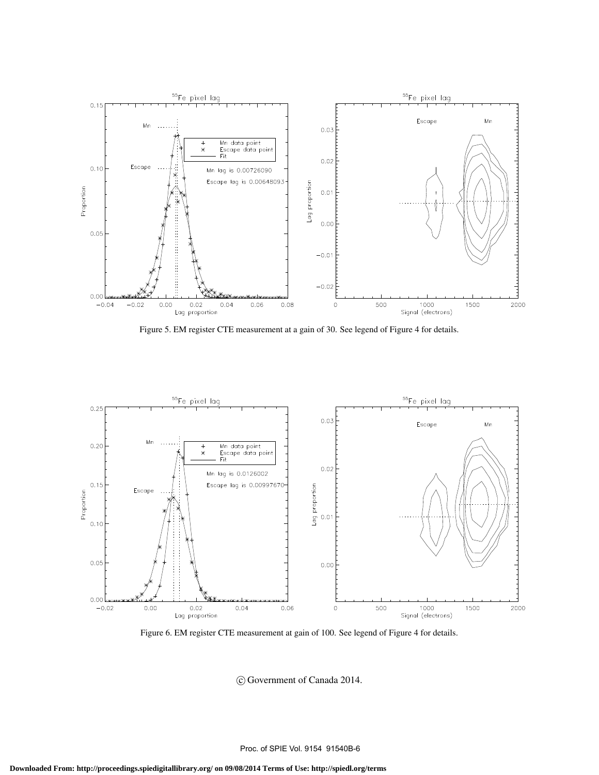

Figure 5. EM register CTE measurement at a gain of 30. See legend of Figure 4 for details.



Figure 6. EM register CTE measurement at gain of 100. See legend of Figure 4 for details.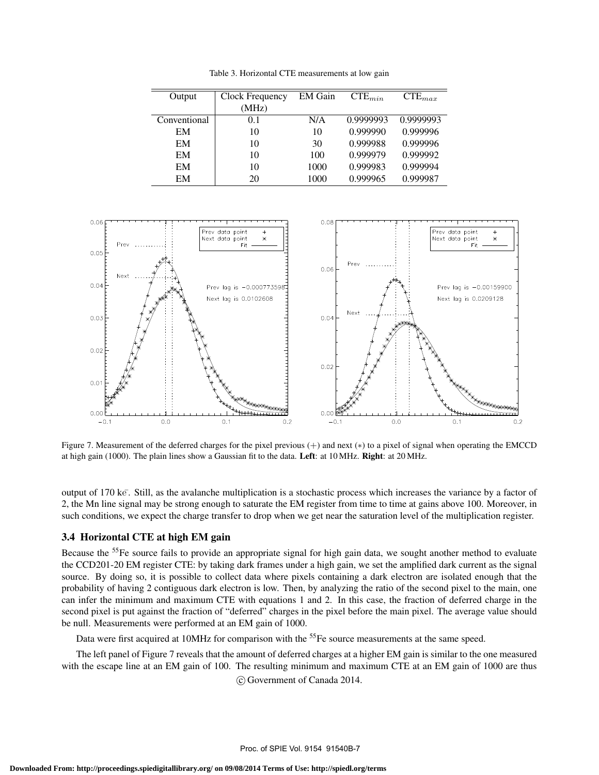Table 3. Horizontal CTE measurements at low gain

| Output       | Clock Frequency | <b>EM</b> Gain | $CTE_{min}$ | $CTE_{max}$ |
|--------------|-----------------|----------------|-------------|-------------|
|              | (MHz)           |                |             |             |
| Conventional | 0.1             | N/A            | 0.9999993   | 0.9999993   |
| EM           | 10              | 10             | 0.999990    | 0.999996    |
| EM           | 10              | 30             | 0.999988    | 0.999996    |
| EM           | 10              | 100            | 0.999979    | 0.999992    |
| EM           | 10              | 1000           | 0.999983    | 0.999994    |
| EМ           | 20              | 1000           | 0.999965    | 0.999987    |



Figure 7. Measurement of the deferred charges for the pixel previous (+) and next (∗) to a pixel of signal when operating the EMCCD at high gain (1000). The plain lines show a Gaussian fit to the data. Left: at 10 MHz. Right: at 20 MHz.

output of 170 ke¯. Still, as the avalanche multiplication is a stochastic process which increases the variance by a factor of 2, the Mn line signal may be strong enough to saturate the EM register from time to time at gains above 100. Moreover, in such conditions, we expect the charge transfer to drop when we get near the saturation level of the multiplication register.

# 3.4 Horizontal CTE at high EM gain

Because the <sup>55</sup>Fe source fails to provide an appropriate signal for high gain data, we sought another method to evaluate the CCD201-20 EM register CTE: by taking dark frames under a high gain, we set the amplified dark current as the signal source. By doing so, it is possible to collect data where pixels containing a dark electron are isolated enough that the probability of having 2 contiguous dark electron is low. Then, by analyzing the ratio of the second pixel to the main, one can infer the minimum and maximum CTE with equations 1 and 2. In this case, the fraction of deferred charge in the second pixel is put against the fraction of "deferred" charges in the pixel before the main pixel. The average value should be null. Measurements were performed at an EM gain of 1000.

Data were first acquired at 10MHz for comparison with the <sup>55</sup>Fe source measurements at the same speed.

The left panel of Figure 7 reveals that the amount of deferred charges at a higher EM gain is similar to the one measured with the escape line at an EM gain of 100. The resulting minimum and maximum CTE at an EM gain of 1000 are thus c Government of Canada 2014.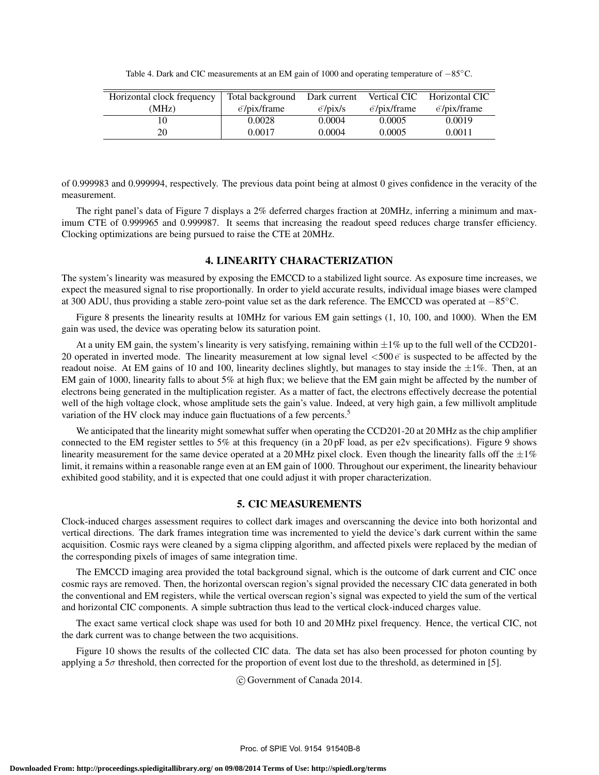Table 4. Dark and CIC measurements at an EM gain of 1000 and operating temperature of −85◦C.

| Horizontal clock frequency | Total background                  | Dark current            | Vertical CIC                         | Horizontal CIC                    |
|----------------------------|-----------------------------------|-------------------------|--------------------------------------|-----------------------------------|
| (MHz)                      | $\bar{e}/\text{pix}/\text{frame}$ | $\bar{\rm e}/\rm pix/s$ | $\overline{e}/\overline{p}$ ix/frame | $\bar{e}/\text{pix}/\text{frame}$ |
|                            | 0.0028                            | 0.0004                  | 0.0005                               | 0.0019                            |
| 20                         | 0.0017                            | 0.0004                  | 0.0005                               | 0.0011                            |

of 0.999983 and 0.999994, respectively. The previous data point being at almost 0 gives confidence in the veracity of the measurement.

The right panel's data of Figure 7 displays a 2% deferred charges fraction at 20MHz, inferring a minimum and maximum CTE of 0.999965 and 0.999987. It seems that increasing the readout speed reduces charge transfer efficiency. Clocking optimizations are being pursued to raise the CTE at 20MHz.

#### 4. LINEARITY CHARACTERIZATION

The system's linearity was measured by exposing the EMCCD to a stabilized light source. As exposure time increases, we expect the measured signal to rise proportionally. In order to yield accurate results, individual image biases were clamped at 300 ADU, thus providing a stable zero-point value set as the dark reference. The EMCCD was operated at −85◦C.

Figure 8 presents the linearity results at 10MHz for various EM gain settings (1, 10, 100, and 1000). When the EM gain was used, the device was operating below its saturation point.

At a unity EM gain, the system's linearity is very satisfying, remaining within  $\pm 1\%$  up to the full well of the CCD201-20 operated in inverted mode. The linearity measurement at low signal level  $\lt 500\,\bar{e}$  is suspected to be affected by the readout noise. At EM gains of 10 and 100, linearity declines slightly, but manages to stay inside the  $\pm 1\%$ . Then, at an EM gain of 1000, linearity falls to about 5% at high flux; we believe that the EM gain might be affected by the number of electrons being generated in the multiplication register. As a matter of fact, the electrons effectively decrease the potential well of the high voltage clock, whose amplitude sets the gain's value. Indeed, at very high gain, a few millivolt amplitude variation of the HV clock may induce gain fluctuations of a few percents.<sup>5</sup>

We anticipated that the linearity might somewhat suffer when operating the CCD201-20 at 20 MHz as the chip amplifier connected to the EM register settles to 5% at this frequency (in a 20 pF load, as per e2v specifications). Figure 9 shows linearity measurement for the same device operated at a 20 MHz pixel clock. Even though the linearity falls off the  $\pm 1\%$ limit, it remains within a reasonable range even at an EM gain of 1000. Throughout our experiment, the linearity behaviour exhibited good stability, and it is expected that one could adjust it with proper characterization.

#### 5. CIC MEASUREMENTS

Clock-induced charges assessment requires to collect dark images and overscanning the device into both horizontal and vertical directions. The dark frames integration time was incremented to yield the device's dark current within the same acquisition. Cosmic rays were cleaned by a sigma clipping algorithm, and affected pixels were replaced by the median of the corresponding pixels of images of same integration time.

The EMCCD imaging area provided the total background signal, which is the outcome of dark current and CIC once cosmic rays are removed. Then, the horizontal overscan region's signal provided the necessary CIC data generated in both the conventional and EM registers, while the vertical overscan region's signal was expected to yield the sum of the vertical and horizontal CIC components. A simple subtraction thus lead to the vertical clock-induced charges value.

The exact same vertical clock shape was used for both 10 and 20 MHz pixel frequency. Hence, the vertical CIC, not the dark current was to change between the two acquisitions.

Figure 10 shows the results of the collected CIC data. The data set has also been processed for photon counting by applying a  $5\sigma$  threshold, then corrected for the proportion of event lost due to the threshold, as determined in [5].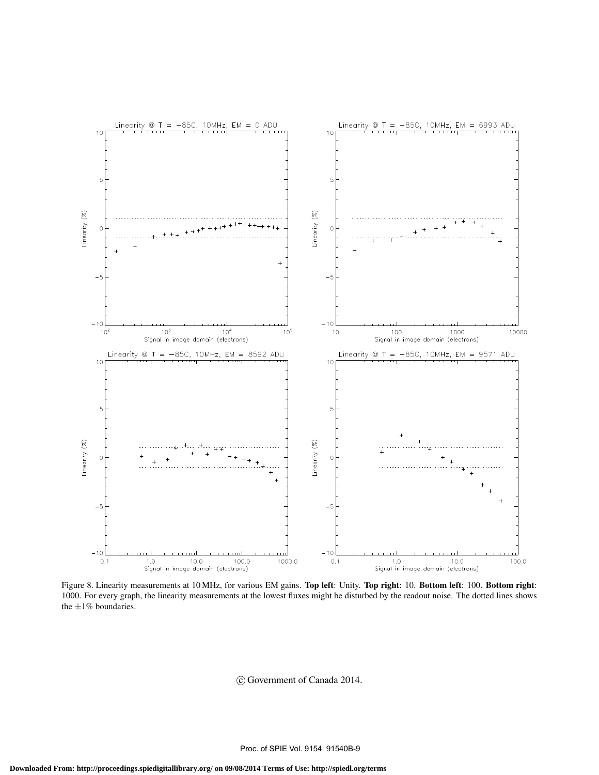

Figure 8. Linearity measurements at 10 MHz, for various EM gains. Top left: Unity. Top right: 10. Bottom left: 100. Bottom right: 1000. For every graph, the linearity measurements at the lowest fluxes might be disturbed by the readout noise. The dotted lines shows the  $\pm 1\%$  boundaries.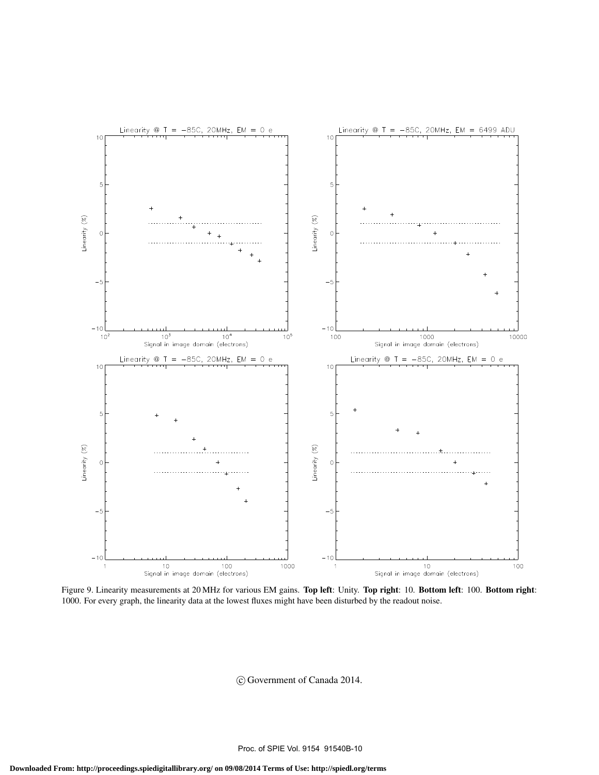

Figure 9. Linearity measurements at 20 MHz for various EM gains. Top left: Unity. Top right: 10. Bottom left: 100. Bottom right: 1000. For every graph, the linearity data at the lowest fluxes might have been disturbed by the readout noise.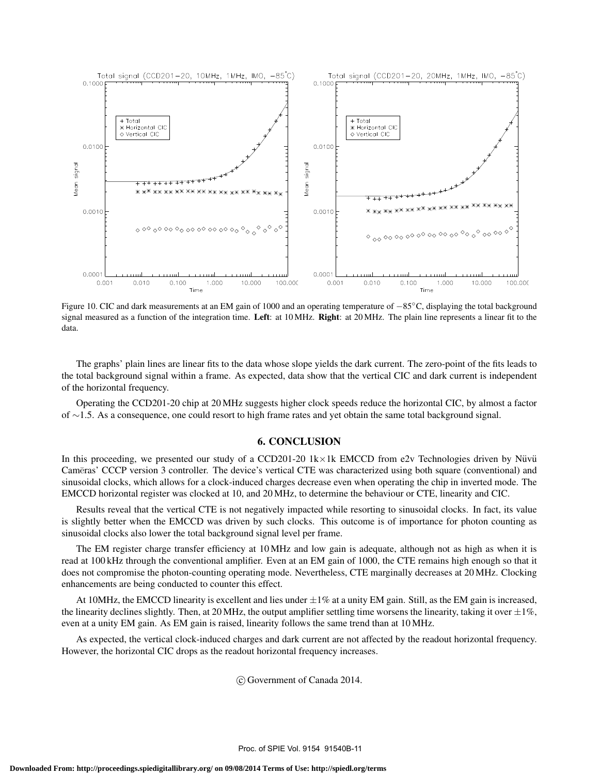

Figure 10. CIC and dark measurements at an EM gain of 1000 and an operating temperature of −85°C, displaying the total background signal measured as a function of the integration time. Left: at 10 MHz. Right: at 20 MHz. The plain line represents a linear fit to the data.

The graphs' plain lines are linear fits to the data whose slope yields the dark current. The zero-point of the fits leads to the total background signal within a frame. As expected, data show that the vertical CIC and dark current is independent of the horizontal frequency.

Operating the CCD201-20 chip at 20 MHz suggests higher clock speeds reduce the horizontal CIC, by almost a factor of ∼1.5. As a consequence, one could resort to high frame rates and yet obtain the same total background signal.

# 6. CONCLUSION

In this proceeding, we presented our study of a CCD201-20  $1k \times 1k$  EMCCD from e2v Technologies driven by Nüvü Cam¯eras' CCCP version 3 controller. The device's vertical CTE was characterized using both square (conventional) and sinusoidal clocks, which allows for a clock-induced charges decrease even when operating the chip in inverted mode. The EMCCD horizontal register was clocked at 10, and 20 MHz, to determine the behaviour or CTE, linearity and CIC.

Results reveal that the vertical CTE is not negatively impacted while resorting to sinusoidal clocks. In fact, its value is slightly better when the EMCCD was driven by such clocks. This outcome is of importance for photon counting as sinusoidal clocks also lower the total background signal level per frame.

The EM register charge transfer efficiency at 10 MHz and low gain is adequate, although not as high as when it is read at 100 kHz through the conventional amplifier. Even at an EM gain of 1000, the CTE remains high enough so that it does not compromise the photon-counting operating mode. Nevertheless, CTE marginally decreases at 20 MHz. Clocking enhancements are being conducted to counter this effect.

At 10MHz, the EMCCD linearity is excellent and lies under  $\pm 1\%$  at a unity EM gain. Still, as the EM gain is increased, the linearity declines slightly. Then, at 20 MHz, the output amplifier settling time worsens the linearity, taking it over  $\pm 1\%$ . even at a unity EM gain. As EM gain is raised, linearity follows the same trend than at 10 MHz.

As expected, the vertical clock-induced charges and dark current are not affected by the readout horizontal frequency. However, the horizontal CIC drops as the readout horizontal frequency increases.